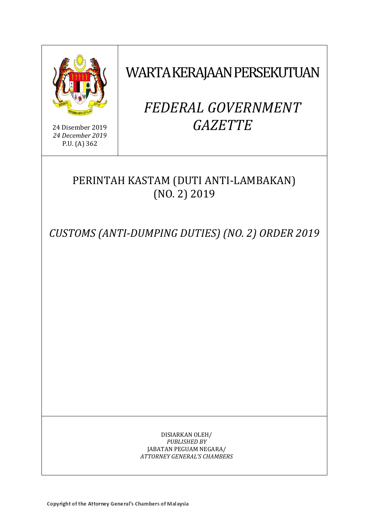

24 Disember 2019 *24 December 2019* P.U. (A) 362

## WARTA KERAJAAN PERSEKUTUAN

# *FEDERAL GOVERNMENT GAZETTE*

### PERINTAH KASTAM (DUTI ANTI-LAMBAKAN) (NO. 2) 2019

*CUSTOMS (ANTI-DUMPING DUTIES) (NO. 2) ORDER 2019*

DISIARKAN OLEH/ *PUBLISHED BY* JABATAN PEGUAM NEGARA/ *ATTORNEY GENERAL'S CHAMBERS*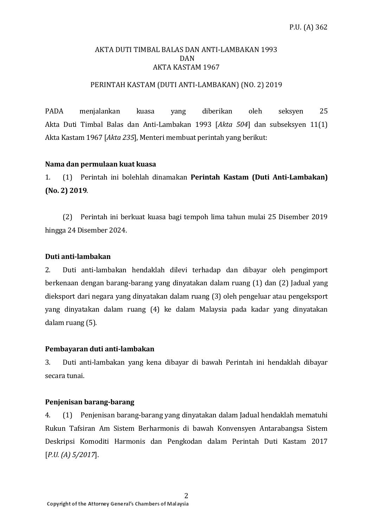#### AKTA DUTI TIMBAL BALAS DAN ANTI-LAMBAKAN 1993 DAN AKTA KASTAM 1967

#### PERINTAH KASTAM (DUTI ANTI-LAMBAKAN) (NO. 2) 2019

PADA menjalankan kuasa yang diberikan oleh seksyen 25 Akta Duti Timbal Balas dan Anti-Lambakan 1993 [*Akta 504*] dan subseksyen 11(1) Akta Kastam 1967 [*Akta 235*], Menteri membuat perintah yang berikut:

#### **Nama dan permulaan kuat kuasa**

1. (1) Perintah ini bolehlah dinamakan **Perintah Kastam (Duti Anti-Lambakan) (No. 2) 2019**.

(2) Perintah ini berkuat kuasa bagi tempoh lima tahun mulai 25 Disember 2019 hingga 24 Disember 2024.

#### **Duti anti-lambakan**

2. Duti anti-lambakan hendaklah dilevi terhadap dan dibayar oleh pengimport berkenaan dengan barang-barang yang dinyatakan dalam ruang (1) dan (2) Jadual yang dieksport dari negara yang dinyatakan dalam ruang (3) oleh pengeluar atau pengeksport yang dinyatakan dalam ruang (4) ke dalam Malaysia pada kadar yang dinyatakan dalam ruang (5).

#### **Pembayaran duti anti-lambakan**

3. Duti anti-lambakan yang kena dibayar di bawah Perintah ini hendaklah dibayar secara tunai.

#### **Penjenisan barang-barang**

4. (1) Penjenisan barang-barang yang dinyatakan dalam Jadual hendaklah mematuhi Rukun Tafsiran Am Sistem Berharmonis di bawah Konvensyen Antarabangsa Sistem Deskripsi Komoditi Harmonis dan Pengkodan dalam Perintah Duti Kastam 2017 [*P.U. (A) 5/2017*].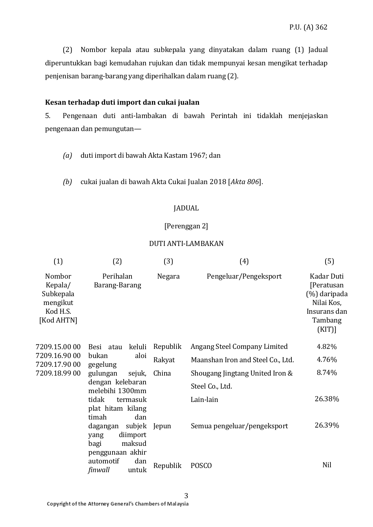(2) Nombor kepala atau subkepala yang dinyatakan dalam ruang (1) Jadual diperuntukkan bagi kemudahan rujukan dan tidak mempunyai kesan mengikat terhadap penjenisan barang-barang yang diperihalkan dalam ruang (2).

#### **Kesan terhadap duti import dan cukai jualan**

5. Pengenaan duti anti-lambakan di bawah Perintah ini tidaklah menjejaskan pengenaan dan pemungutan—

- *(a)* duti import di bawah Akta Kastam 1967; dan
- *(b)* cukai jualan di bawah Akta Cukai Jualan 2018 [*Akta 806*].

#### JADUAL

#### [Perenggan 2]

#### DUTI ANTI-LAMBAKAN

| (1)                                                                  | (2)                                                                                                                 | (3)      | (4)                                                | (5)                                                                                            |
|----------------------------------------------------------------------|---------------------------------------------------------------------------------------------------------------------|----------|----------------------------------------------------|------------------------------------------------------------------------------------------------|
| Nombor<br>Kepala/<br>Subkepala<br>mengikut<br>Kod H.S.<br>[Kod AHTN] | Perihalan<br>Barang-Barang                                                                                          | Negara   | Pengeluar/Pengeksport                              | Kadar Duti<br>[Peratusan<br>(%) daripada<br>Nilai Kos,<br>Insurans dan<br>Tambang<br>$(KIT)$ ] |
| 7209.15.0000                                                         | Besi atau<br>keluli                                                                                                 | Republik | Angang Steel Company Limited                       | 4.82%                                                                                          |
| 7209.16.90 00<br>7209.17.90 00                                       | bukan<br>aloi<br>gegelung                                                                                           | Rakyat   | Maanshan Iron and Steel Co., Ltd.                  | 4.76%                                                                                          |
| 7209.18.99 00                                                        | gulungan<br>sejuk,<br>dengan kelebaran<br>melebihi 1300mm<br>tidak<br>termasuk<br>plat hitam kilang<br>timah<br>dan | China    | Shougang Jingtang United Iron &<br>Steel Co., Ltd. | 8.74%                                                                                          |
|                                                                      |                                                                                                                     |          | Lain-lain                                          | 26.38%                                                                                         |
|                                                                      | dagangan<br>subjek<br>diimport<br>yang<br>maksud<br>bagi<br>penggunaan akhir                                        | Jepun    | Semua pengeluar/pengeksport                        | 26.39%                                                                                         |
|                                                                      | automotif<br>dan<br>finwall<br>untuk                                                                                | Republik | <b>POSCO</b>                                       | Nil                                                                                            |

3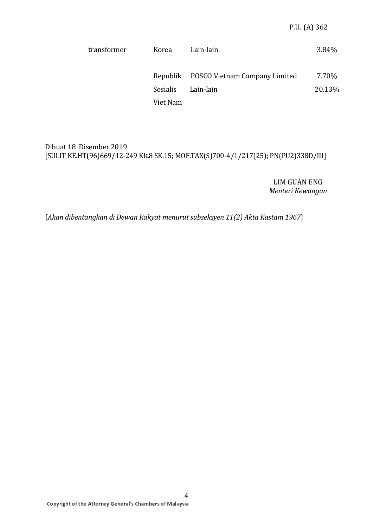| transformer | Korea    | Lain-lain                              | 3.84%  |
|-------------|----------|----------------------------------------|--------|
|             |          | Republik POSCO Vietnam Company Limited | 7.70%  |
|             | Sosialis | Lain-lain                              | 20.13% |
|             | Viet Nam |                                        |        |

#### Dibuat 18 Disember 2019 [SULIT KE.HT(96)669/12-249 Klt.8 SK.15; MOF.TAX(S)700-4/1/217(25); PN(PU2)338D/III]

LIM GUAN ENG *Menteri Kewangan*

[*Akan dibentangkan di Dewan Rakyat menurut subseksyen 11(2) Akta Kastam 1967*]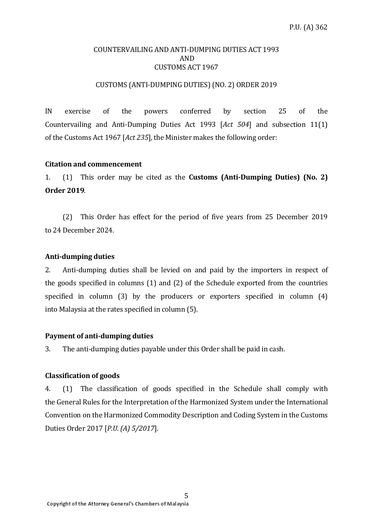#### COUNTERVAILING AND ANTI-DUMPING DUTIES ACT 1993 AND CUSTOMS ACT 1967

#### CUSTOMS (ANTI-DUMPING DUTIES) (NO. 2) ORDER 2019

IN exercise of the powers conferred by section 25 of the Countervailing and Anti-Dumping Duties Act 1993 [*Act 504*] and subsection 11(1) of the Customs Act 1967 [*Act 235*], the Minister makes the following order:

#### **Citation and commencement**

1. (1) This order may be cited as the **Customs (Anti-Dumping Duties) (No. 2) Order 2019**.

(2) This Order has effect for the period of five years from 25 December 2019 to 24 December 2024.

#### **Anti-dumping duties**

2. Anti-dumping duties shall be levied on and paid by the importers in respect of the goods specified in columns (1) and (2) of the Schedule exported from the countries specified in column (3) by the producers or exporters specified in column (4) into Malaysia at the rates specified in column (5).

#### **Payment of anti-dumping duties**

3. The anti-dumping duties payable under this Order shall be paid in cash.

#### **Classification of goods**

4. (1) The classification of goods specified in the Schedule shall comply with the General Rules for the Interpretation of the Harmonized System under the International Convention on the Harmonized Commodity Description and Coding System in the Customs Duties Order 2017 [*P.U. (A) 5/2017*].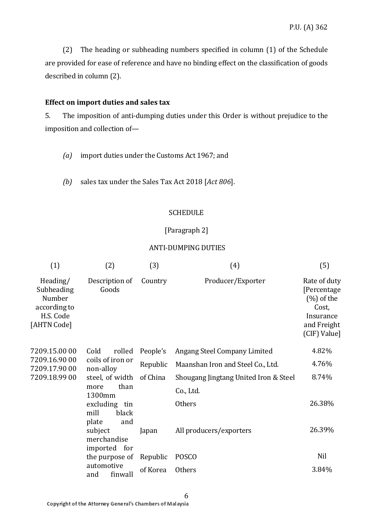(2) The heading or subheading numbers specified in column (1) of the Schedule are provided for ease of reference and have no binding effect on the classification of goods described in column (2).

#### **Effect on import duties and sales tax**

5. The imposition of anti-dumping duties under this Order is without prejudice to the imposition and collection of—

- *(a)* import duties under the Customs Act 1967; and
- *(b)* sales tax under the Sales Tax Act 2018 [*Act 806*].

#### **SCHEDULE**

#### [Paragraph 2]

#### ANTI-DUMPING DUTIES

| (1)                                                                          | (2)                                                                                                       | (3)      | (4)                                   | (5)                                                                                               |
|------------------------------------------------------------------------------|-----------------------------------------------------------------------------------------------------------|----------|---------------------------------------|---------------------------------------------------------------------------------------------------|
| Heading/<br>Subheading<br>Number<br>according to<br>H.S. Code<br>[AHTN Code] | Description of<br>Goods                                                                                   | Country  | Producer/Exporter                     | Rate of duty<br>[Percentage<br>$(\%)$ of the<br>Cost,<br>Insurance<br>and Freight<br>(CIF) Value] |
| 7209.15.00 00                                                                | Cold<br>rolled                                                                                            | People's | Angang Steel Company Limited          | 4.82%                                                                                             |
| 7209.16.90 00<br>7209.17.90 00                                               | coils of iron or<br>non-alloy                                                                             | Republic | Maanshan Iron and Steel Co., Ltd.     | 4.76%                                                                                             |
| 7209.18.99 00                                                                | steel, of width<br>than<br>more<br>1300mm<br>excluding<br>tin<br>mill<br>black<br>plate<br>and<br>subject | of China | Shougang Jingtang United Iron & Steel | 8.74%                                                                                             |
|                                                                              |                                                                                                           |          | Co., Ltd.                             |                                                                                                   |
|                                                                              |                                                                                                           |          | Others                                | 26.38%                                                                                            |
|                                                                              |                                                                                                           | Japan    | All producers/exporters               | 26.39%                                                                                            |
|                                                                              | merchandise<br>imported for                                                                               |          |                                       |                                                                                                   |
|                                                                              | the purpose of                                                                                            | Republic | <b>POSCO</b>                          | Nil                                                                                               |
|                                                                              | automotive<br>finwall<br>and                                                                              | of Korea | <b>Others</b>                         | 3.84%                                                                                             |

6